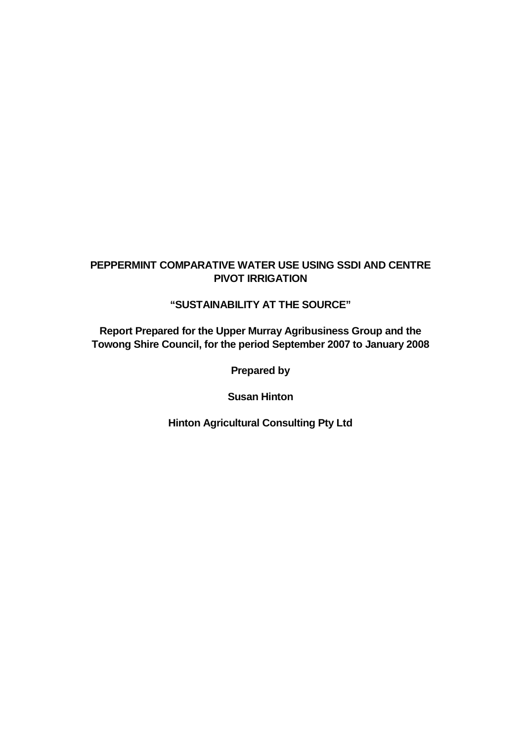# **PEPPERMINT COMPARATIVE WATER USE USING SSDI AND CENTRE PIVOT IRRIGATION**

# **"SUSTAINABILITY AT THE SOURCE"**

**Report Prepared for the Upper Murray Agribusiness Group and the Towong Shire Council, for the period September 2007 to January 2008** 

**Prepared by** 

**Susan Hinton** 

**Hinton Agricultural Consulting Pty Ltd**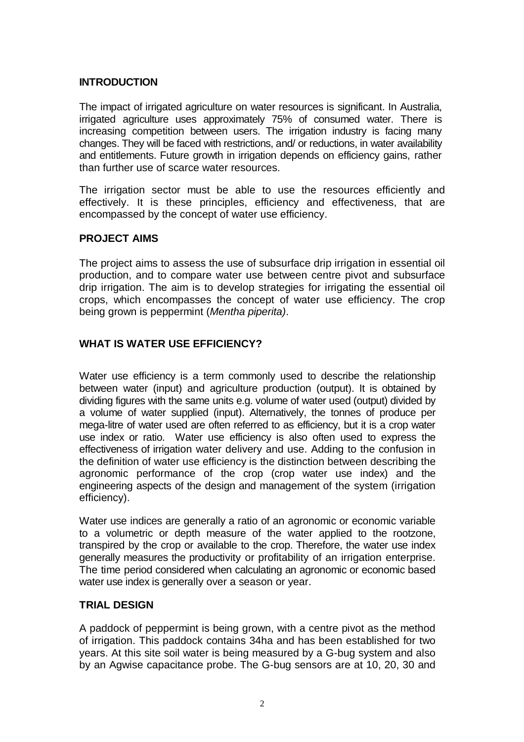## **INTRODUCTION**

The impact of irrigated agriculture on water resources is significant. In Australia, irrigated agriculture uses approximately 75% of consumed water. There is increasing competition between users. The irrigation industry is facing many changes. They will be faced with restrictions, and/ or reductions, in water availability and entitlements. Future growth in irrigation depends on efficiency gains, rather than further use of scarce water resources.

The irrigation sector must be able to use the resources efficiently and effectively. It is these principles, efficiency and effectiveness, that are encompassed by the concept of water use efficiency.

## **PROJECT AIMS**

The project aims to assess the use of subsurface drip irrigation in essential oil production, and to compare water use between centre pivot and subsurface drip irrigation. The aim is to develop strategies for irrigating the essential oil crops, which encompasses the concept of water use efficiency. The crop being grown is peppermint (Mentha piperita).

## **WHAT IS WATER USE EFFICIENCY?**

Water use efficiency is a term commonly used to describe the relationship between water (input) and agriculture production (output). It is obtained by dividing figures with the same units e.g. volume of water used (output) divided by a volume of water supplied (input). Alternatively, the tonnes of produce per mega-litre of water used are often referred to as efficiency, but it is a crop water use index or ratio. Water use efficiency is also often used to express the effectiveness of irrigation water delivery and use. Adding to the confusion in the definition of water use efficiency is the distinction between describing the agronomic performance of the crop (crop water use index) and the engineering aspects of the design and management of the system (irrigation efficiency).

Water use indices are generally a ratio of an agronomic or economic variable to a volumetric or depth measure of the water applied to the rootzone, transpired by the crop or available to the crop. Therefore, the water use index generally measures the productivity or profitability of an irrigation enterprise. The time period considered when calculating an agronomic or economic based water use index is generally over a season or year.

## **TRIAL DESIGN**

A paddock of peppermint is being grown, with a centre pivot as the method of irrigation. This paddock contains 34ha and has been established for two years. At this site soil water is being measured by a G-bug system and also by an Agwise capacitance probe. The G-bug sensors are at 10, 20, 30 and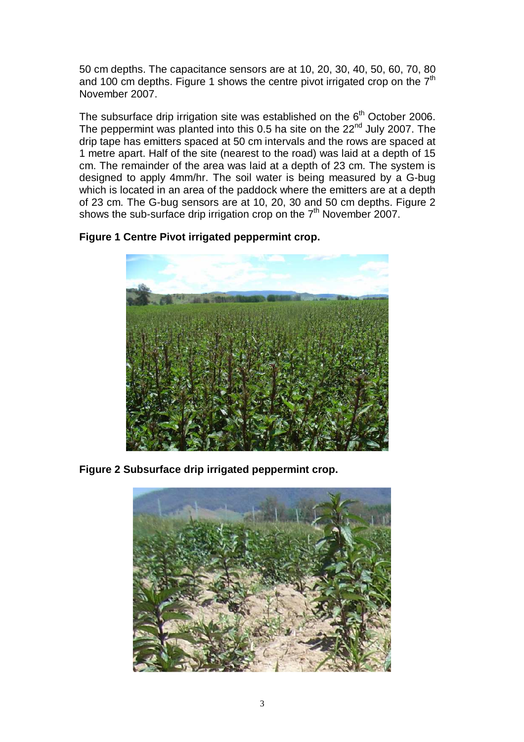50 cm depths. The capacitance sensors are at 10, 20, 30, 40, 50, 60, 70, 80 and 100 cm depths. Figure 1 shows the centre pivot irrigated crop on the  $7<sup>th</sup>$ November 2007.

The subsurface drip irrigation site was established on the  $6<sup>th</sup>$  October 2006. The peppermint was planted into this 0.5 ha site on the  $22<sup>nd</sup>$  July 2007. The drip tape has emitters spaced at 50 cm intervals and the rows are spaced at 1 metre apart. Half of the site (nearest to the road) was laid at a depth of 15 cm. The remainder of the area was laid at a depth of 23 cm. The system is designed to apply 4mm/hr. The soil water is being measured by a G-bug which is located in an area of the paddock where the emitters are at a depth of 23 cm. The G-bug sensors are at 10, 20, 30 and 50 cm depths. Figure 2 shows the sub-surface drip irrigation crop on the  $7<sup>th</sup>$  November 2007.

**Figure 1 Centre Pivot irrigated peppermint crop.**



**Figure 2 Subsurface drip irrigated peppermint crop.**

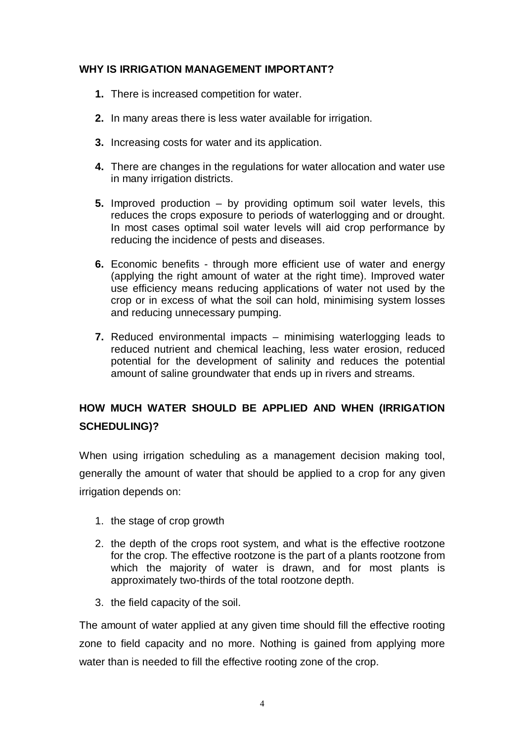## **WHY IS IRRIGATION MANAGEMENT IMPORTANT?**

- **1.** There is increased competition for water.
- **2.** In many areas there is less water available for irrigation.
- **3.** Increasing costs for water and its application.
- **4.** There are changes in the regulations for water allocation and water use in many irrigation districts.
- **5.** Improved production by providing optimum soil water levels, this reduces the crops exposure to periods of waterlogging and or drought. In most cases optimal soil water levels will aid crop performance by reducing the incidence of pests and diseases.
- **6.** Economic benefits through more efficient use of water and energy (applying the right amount of water at the right time). Improved water use efficiency means reducing applications of water not used by the crop or in excess of what the soil can hold, minimising system losses and reducing unnecessary pumping.
- **7.** Reduced environmental impacts minimising waterlogging leads to reduced nutrient and chemical leaching, less water erosion, reduced potential for the development of salinity and reduces the potential amount of saline groundwater that ends up in rivers and streams.

# **HOW MUCH WATER SHOULD BE APPLIED AND WHEN (IRRIGATION SCHEDULING)?**

When using irrigation scheduling as a management decision making tool, generally the amount of water that should be applied to a crop for any given irrigation depends on:

- 1. the stage of crop growth
- 2. the depth of the crops root system, and what is the effective rootzone for the crop. The effective rootzone is the part of a plants rootzone from which the majority of water is drawn, and for most plants is approximately two-thirds of the total rootzone depth.
- 3. the field capacity of the soil.

The amount of water applied at any given time should fill the effective rooting zone to field capacity and no more. Nothing is gained from applying more water than is needed to fill the effective rooting zone of the crop.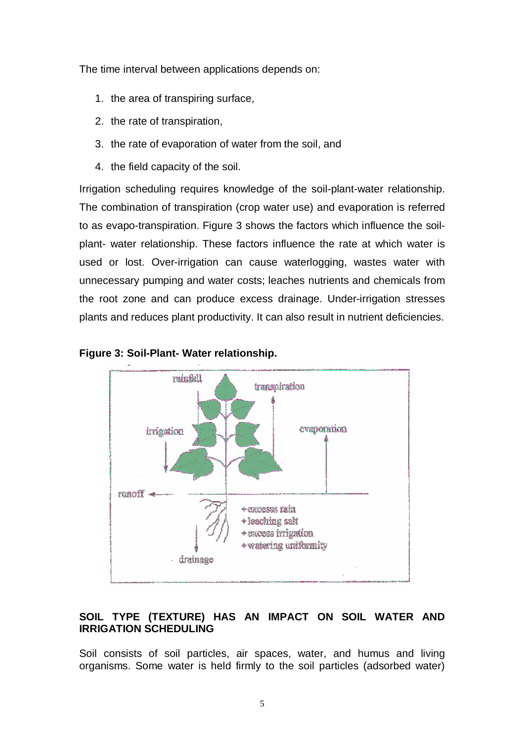The time interval between applications depends on:

- 1. the area of transpiring surface,
- 2. the rate of transpiration,
- 3. the rate of evaporation of water from the soil, and
- 4. the field capacity of the soil.

Irrigation scheduling requires knowledge of the soil-plant-water relationship. The combination of transpiration (crop water use) and evaporation is referred to as evapo-transpiration. Figure 3 shows the factors which influence the soilplant- water relationship. These factors influence the rate at which water is used or lost. Over-irrigation can cause waterlogging, wastes water with unnecessary pumping and water costs; leaches nutrients and chemicals from the root zone and can produce excess drainage. Under-irrigation stresses plants and reduces plant productivity. It can also result in nutrient deficiencies.



#### **Figure 3: Soil-Plant- Water relationship.**

## **SOIL TYPE (TEXTURE) HAS AN IMPACT ON SOIL WATER AND IRRIGATION SCHEDULING**

Soil consists of soil particles, air spaces, water, and humus and living organisms. Some water is held firmly to the soil particles (adsorbed water)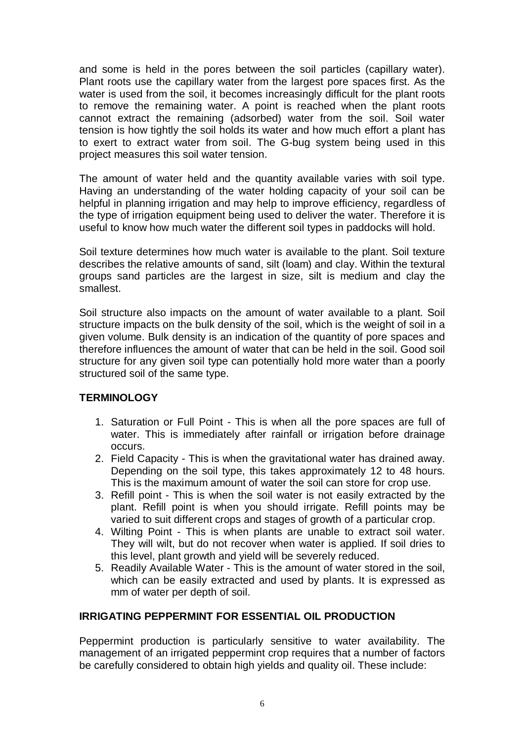and some is held in the pores between the soil particles (capillary water). Plant roots use the capillary water from the largest pore spaces first. As the water is used from the soil, it becomes increasingly difficult for the plant roots to remove the remaining water. A point is reached when the plant roots cannot extract the remaining (adsorbed) water from the soil. Soil water tension is how tightly the soil holds its water and how much effort a plant has to exert to extract water from soil. The G-bug system being used in this project measures this soil water tension.

The amount of water held and the quantity available varies with soil type. Having an understanding of the water holding capacity of your soil can be helpful in planning irrigation and may help to improve efficiency, regardless of the type of irrigation equipment being used to deliver the water. Therefore it is useful to know how much water the different soil types in paddocks will hold.

Soil texture determines how much water is available to the plant. Soil texture describes the relative amounts of sand, silt (loam) and clay. Within the textural groups sand particles are the largest in size, silt is medium and clay the smallest.

Soil structure also impacts on the amount of water available to a plant. Soil structure impacts on the bulk density of the soil, which is the weight of soil in a given volume. Bulk density is an indication of the quantity of pore spaces and therefore influences the amount of water that can be held in the soil. Good soil structure for any given soil type can potentially hold more water than a poorly structured soil of the same type.

# **TERMINOLOGY**

- 1. Saturation or Full Point This is when all the pore spaces are full of water. This is immediately after rainfall or irrigation before drainage occurs.
- 2. Field Capacity This is when the gravitational water has drained away. Depending on the soil type, this takes approximately 12 to 48 hours. This is the maximum amount of water the soil can store for crop use.
- 3. Refill point This is when the soil water is not easily extracted by the plant. Refill point is when you should irrigate. Refill points may be varied to suit different crops and stages of growth of a particular crop.
- 4. Wilting Point This is when plants are unable to extract soil water. They will wilt, but do not recover when water is applied. If soil dries to this level, plant growth and yield will be severely reduced.
- 5. Readily Available Water This is the amount of water stored in the soil, which can be easily extracted and used by plants. It is expressed as mm of water per depth of soil.

## **IRRIGATING PEPPERMINT FOR ESSENTIAL OIL PRODUCTION**

Peppermint production is particularly sensitive to water availability. The management of an irrigated peppermint crop requires that a number of factors be carefully considered to obtain high yields and quality oil. These include: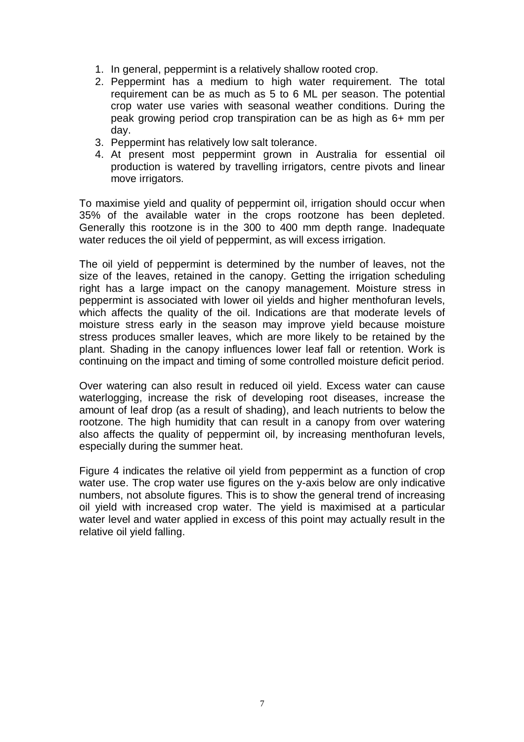- 1. In general, peppermint is a relatively shallow rooted crop.
- 2. Peppermint has a medium to high water requirement. The total requirement can be as much as 5 to 6 ML per season. The potential crop water use varies with seasonal weather conditions. During the peak growing period crop transpiration can be as high as 6+ mm per day.
- 3. Peppermint has relatively low salt tolerance.
- 4. At present most peppermint grown in Australia for essential oil production is watered by travelling irrigators, centre pivots and linear move irrigators.

To maximise yield and quality of peppermint oil, irrigation should occur when 35% of the available water in the crops rootzone has been depleted. Generally this rootzone is in the 300 to 400 mm depth range. Inadequate water reduces the oil yield of peppermint, as will excess irrigation.

The oil yield of peppermint is determined by the number of leaves, not the size of the leaves, retained in the canopy. Getting the irrigation scheduling right has a large impact on the canopy management. Moisture stress in peppermint is associated with lower oil yields and higher menthofuran levels, which affects the quality of the oil. Indications are that moderate levels of moisture stress early in the season may improve yield because moisture stress produces smaller leaves, which are more likely to be retained by the plant. Shading in the canopy influences lower leaf fall or retention. Work is continuing on the impact and timing of some controlled moisture deficit period.

Over watering can also result in reduced oil yield. Excess water can cause waterlogging, increase the risk of developing root diseases, increase the amount of leaf drop (as a result of shading), and leach nutrients to below the rootzone. The high humidity that can result in a canopy from over watering also affects the quality of peppermint oil, by increasing menthofuran levels, especially during the summer heat.

Figure 4 indicates the relative oil yield from peppermint as a function of crop water use. The crop water use figures on the y-axis below are only indicative numbers, not absolute figures. This is to show the general trend of increasing oil yield with increased crop water. The yield is maximised at a particular water level and water applied in excess of this point may actually result in the relative oil yield falling.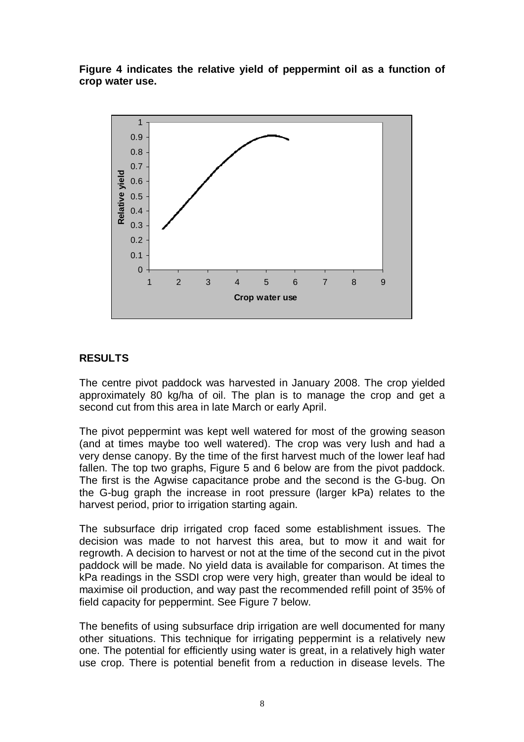**Figure 4 indicates the relative yield of peppermint oil as a function of crop water use.** 



## **RESULTS**

The centre pivot paddock was harvested in January 2008. The crop yielded approximately 80 kg/ha of oil. The plan is to manage the crop and get a second cut from this area in late March or early April.

The pivot peppermint was kept well watered for most of the growing season (and at times maybe too well watered). The crop was very lush and had a very dense canopy. By the time of the first harvest much of the lower leaf had fallen. The top two graphs, Figure 5 and 6 below are from the pivot paddock. The first is the Agwise capacitance probe and the second is the G-bug. On the G-bug graph the increase in root pressure (larger kPa) relates to the harvest period, prior to irrigation starting again.

The subsurface drip irrigated crop faced some establishment issues. The decision was made to not harvest this area, but to mow it and wait for regrowth. A decision to harvest or not at the time of the second cut in the pivot paddock will be made. No yield data is available for comparison. At times the kPa readings in the SSDI crop were very high, greater than would be ideal to maximise oil production, and way past the recommended refill point of 35% of field capacity for peppermint. See Figure 7 below.

The benefits of using subsurface drip irrigation are well documented for many other situations. This technique for irrigating peppermint is a relatively new one. The potential for efficiently using water is great, in a relatively high water use crop. There is potential benefit from a reduction in disease levels. The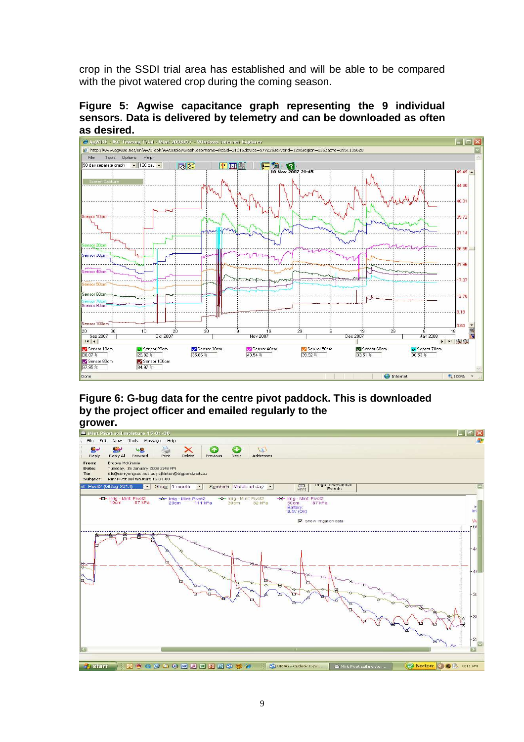crop in the SSDI trial area has established and will be able to be compared with the pivot watered crop during the coming season.

**Figure 5: Agwise capacitance graph representing the 9 individual sensors. Data is delivered by telemetry and can be downloaded as often as desired.**



**Figure 6: G-bug data for the centre pivot paddock. This is downloaded by the project officer and emailed regularly to the**

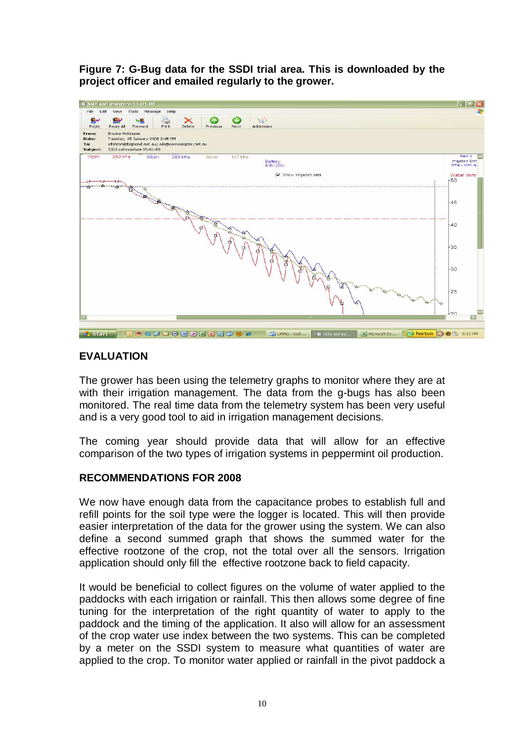**Figure 7: G-Bug data for the SSDI trial area. This is downloaded by the project officer and emailed regularly to the grower.** 



# **EVALUATION**

The grower has been using the telemetry graphs to monitor where they are at with their irrigation management. The data from the g-bugs has also been monitored. The real time data from the telemetry system has been very useful and is a very good tool to aid in irrigation management decisions.

The coming year should provide data that will allow for an effective comparison of the two types of irrigation systems in peppermint oil production.

## **RECOMMENDATIONS FOR 2008**

We now have enough data from the capacitance probes to establish full and refill points for the soil type were the logger is located. This will then provide easier interpretation of the data for the grower using the system. We can also define a second summed graph that shows the summed water for the effective rootzone of the crop, not the total over all the sensors. Irrigation application should only fill the effective rootzone back to field capacity.

It would be beneficial to collect figures on the volume of water applied to the paddocks with each irrigation or rainfall. This then allows some degree of fine tuning for the interpretation of the right quantity of water to apply to the paddock and the timing of the application. It also will allow for an assessment of the crop water use index between the two systems. This can be completed by a meter on the SSDI system to measure what quantities of water are applied to the crop. To monitor water applied or rainfall in the pivot paddock a